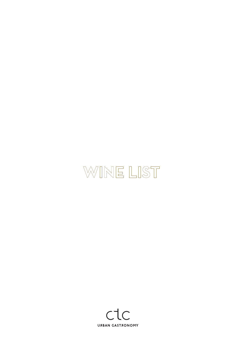# WINE LIST

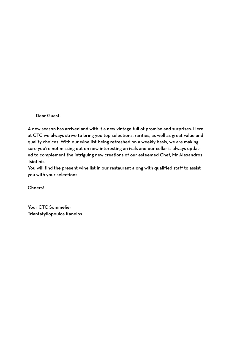Dear Guest,

A new season has arrived and with it a new vintage full of promise and surprises. Here at CTC we always strive to bring you top selections, rarities, as well as great value and quality choices. With our wine list being refreshed on a weekly basis, we are making sure you're not missing out on new interesting arrivals and our cellar is always updated to complement the intriguing new creations of our esteemed Chef, Mr Alexandros Tsiotinis.

You will find the present wine list in our restaurant along with qualified staff to assist you with your selections.

Cheers!

Your CTC Sommelier Triantafyllopoulos Kanelos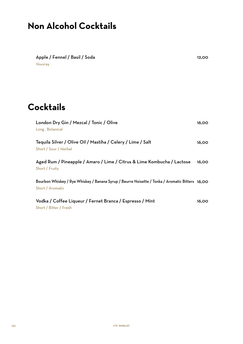# **Non Alcohol Cocktails**

Apple / Fennel / Basil / Soda Vouvray 12,00

# **Cocktails**

| London Dry Gin / Mezcal / Tonic / Olive<br>Long, Botanical                                                          | 16,00 |
|---------------------------------------------------------------------------------------------------------------------|-------|
| Tequila Silver / Olive Oil / Mastiha / Celery / Lime / Salt<br>Short / Sour / Herbal                                | 16,00 |
| Aged Rum / Pineapple / Amaro / Lime / Citrus & Lime Kombucha / Lactose<br>Short / Fruity                            | 16,00 |
| Bourbon Whiskey / Rye Whiskey / Banana Syrup / Beurre Noisette / Tonka / Aromatic Bitters 16,00<br>Short / Aromatic |       |
| Vodka / Coffee Liqueur / Fernet Branca / Espresso / Mint<br>Short / Bitter / Fresh                                  | 16,00 |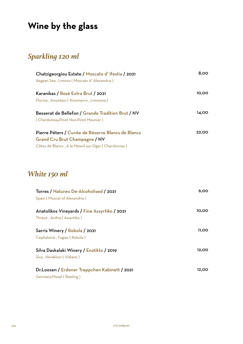# **Wine by the glass**

### *Sparkling 120 ml*

| Chatzigeorgiou Estate / Moscato d'Ifestia / 2021   | 8,00         |
|----------------------------------------------------|--------------|
| Aegean Sea, Limnos (Moscato d'Alexandria)          |              |
| Karanikas / Rosé Extra Brut / 2021                 | 10,00        |
| Florina, Amyntaio (Xinomavro, Limniona)            |              |
| Besserat de Bellefon / Grande Tradition Brut / NV  | 14.00        |
| (Chardonnay, Pinot Noir, Pinot Meunier)            |              |
| Pierre Péters / Cuvée de Réserve Blancs de Blancs  | <b>22,00</b> |
| <b>Grand Cru Brut Champagne / NV</b>               |              |
| Côtes de Blancs, A le Mesnil-sur-Oger (Chardonnay) |              |

## *White 150 ml*

| Torres / Natureo De-Alcoholised / 2021<br>Spain (Muscat of Alexandria)     | 6,00  |
|----------------------------------------------------------------------------|-------|
| Anatolikos Vineyards / Fine Assyrtiko / 2021<br>Thrace, Avdira (Assyrtiko) | 10,00 |
| Sarris Winery / Robola / 2021<br>Cephalonia, Fagias (Robola)               | 11,00 |
| Silva Daskalaki Winery / Enstikto / 2019<br>Siva , Heraklion (Vidiano )    | 12,00 |
| Dr.Loosen / Erdener Treppchen Kabinett / 2021<br>Germany, Mosel (Riesling) | 12,00 |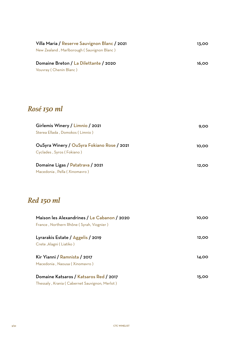| Villa Maria / Reserve Sauvignon Blanc / 2021<br>New Zealand, Marlborough (Sauvignon Blanc) | 13,00 |
|--------------------------------------------------------------------------------------------|-------|
| Domaine Breton / La Dilettante / 2020<br>Vouvray (Chenin Blanc)                            | 16,00 |
| Rosé 150 ml                                                                                |       |
| Girlemis Winery / Limnio / 2021<br>Sterea Ellada, Domokos (Limnio)                         | 9,00  |
|                                                                                            |       |
| OuSyra Winery / OuSyra Fokiano Rose / 2021<br>Cyclades, Syros (Fokiano)                    | 10,00 |

# *Red 150 ml*

| Maison les Alexandrines / Le Cabanon / 2020   | 10.00 |
|-----------------------------------------------|-------|
| France, Northern Rhône (Syrah, Viognier)      |       |
|                                               |       |
| Lyrarakis Estate / Aggelis / 2019             | 12,00 |
| Crete, Alagni (Liatiko)                       |       |
| Kir Yianni / Ramnista / 2017                  | 14.00 |
| Macedonia, Naousa (Xinomavro)                 |       |
| Domaine Katsaros / Katsaros Red / 2017        | 15.00 |
| Thessaly, Krania (Cabernet Sauvignon, Merlot) |       |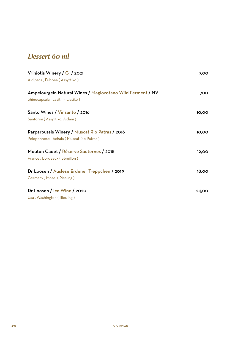#### *Dessert 60 ml*

| Vriniotis Winery / $G$ / 2021<br>Aidipsos, Euboea (Assyrtiko)                                 | 7,00         |
|-----------------------------------------------------------------------------------------------|--------------|
| Ampelourgein Natural Wines / Magiovotano Wild Ferment / NV<br>Shinocapsala, Lasithi (Liatiko) | 700          |
| Santo Wines / Vinsanto / 2016<br>Santorini (Assyrtiko, Aidani)                                | 10,00        |
| Parparoussis Winery / Muscat Rio Patras / 2016<br>Peloponnese, Achaia (Muscat Rio Patras)     | 10,00        |
| Mouton Cadet / Réserve Sauternes / 2018<br>France, Bordeaux (Sémillon)                        | 12,00        |
| Dr Loosen / Auslese Erdener Treppchen / 2019<br>Germany, Mosel (Riesling)                     | <b>18,00</b> |
| Dr Loosen / Ice Wine / 2020<br>Usa, Washington (Riesling)                                     | 24,00        |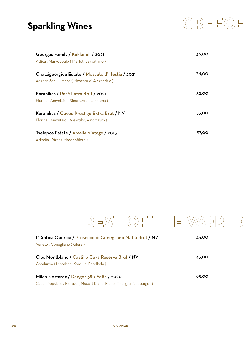# **Sparkling Wines**



| Georgas Family / Kokkineli / 2021<br>Attica, Markopoulo (Merlot, Savvatiano)                  | 36,00 |
|-----------------------------------------------------------------------------------------------|-------|
| Chatzigeorgiou Estate / Moscato d'Ifestia / 2021<br>Aegean Sea, Limnos (Moscato d'Alexandria) | 38.00 |
| Karanikas / Rosé Extra Brut / 2021<br>Florina, Amyntaio (Xinomavro, Limniona)                 | 52,00 |
| Karanikas / Cuvee Prestige Extra Brut / NV<br>Florina, Amyntaio (Assyrtiko, Xinomavro)        | 55,00 |
| Tselepos Estate / Amalia Vintage / 2015<br>Arkadia, Rizes (Moschofilero)                      | 57,00 |

# REST OF THE WORLD

| L' Antica Quercia / Prosecco di Conegliano Matiù Brut / NV       | 45,00 |
|------------------------------------------------------------------|-------|
| Veneto, Conegliano (Glera)                                       |       |
| Clos Montblanc / Castillo Cava Reserva Brut / NV                 | 45,00 |
| Catalunya (Macabeo, Xarel-lo, Parellada)                         |       |
| Milan Nestarec / Danger 380 Volts / 2020                         | 65.00 |
| Czech Republic, Morava (Muscat Blanc, Muller Thurgau, Neuburger) |       |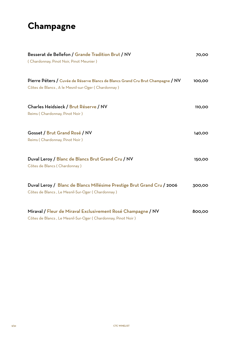# **Champagne**

| Besserat de Bellefon / Grande Tradition Brut / NV<br>(Chardonnay, Pinot Noir, Pinot Meunier)                                          | 70,00  |
|---------------------------------------------------------------------------------------------------------------------------------------|--------|
| Pierre Péters / Cuvée de Réserve Blancs de Blancs Grand Cru Brut Champagne / NV<br>Côtes de Blancs, A le Mesnil-sur-Oger (Chardonnay) | 100,00 |
| Charles Heidsieck / Brut Réserve / NV<br>Reims (Chardonnay, Pinot Noir)                                                               | 110,00 |
| Gosset / Brut Grand Rosé / NV<br>Reims (Chardonnay, Pinot Noir)                                                                       | 140,00 |
| Duval Leroy / Blanc de Blancs Brut Grand Cru / NV<br>Côtes de Blancs (Chardonnay)                                                     | 150,00 |
| Duval Leroy / Blanc de Blancs Millésime Prestige Brut Grand Cru / 2006<br>Côtes de Blancs, Le Mesnil-Sur-Oger (Chardonnay)            | 300,00 |
| Miraval / Fleur de Miraval Exclusivement Rosé Champagne / NV<br>Côtes de Blancs, Le Mesnil-Sur-Oger (Chardonnay, Pinot Noir)          | 800,00 |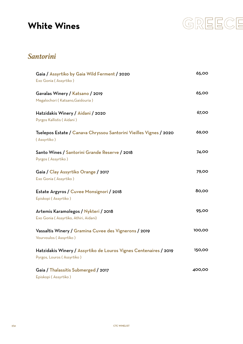## **White Wines**



#### *Santorini*

| Gaia / Assyrtiko by Gaia Wild Ferment / 2020<br>Exo Gonia (Assyrtiko)                           | 65,00  |
|-------------------------------------------------------------------------------------------------|--------|
| Gavalas Winery / Katsano / 2019<br>Megalochori (Katsano, Gaidouria)                             | 65,00  |
| Hatzidakis Winery / Aidani / 2020<br>Pyrgos Kallistis (Aidani)                                  | 67,00  |
| Tselepos Estate / Canava Chryssou Santorini Vieilles Vignes / 2020<br>(Assyrtiko)               | 69,00  |
| Santo Wines / Santorini Grande Reserve / 2018<br>Pyrgos (Assyrtiko)                             | 74,00  |
| Gaia / Clay Assyrtiko Orange / 2017<br>Exo Gonia (Assyrtiko)                                    | 79,00  |
| Estate Argyros / Cuvee Monsignori / 2018<br>Episkopi (Assyrtiko)                                | 80,00  |
| Artemis Karamolegos / Nykteri / 2018<br>Exo Gonia (Assyrtiko, Athiri, Aidani)                   | 95,00  |
| Vassaltis Winery / Gramina Cuvee des Vignerons / 2019<br>Vourvoulos (Assyrtiko)                 | 100,00 |
| Hatzidakis Winery / Assyrtiko de Louros Vignes Centenaires / 2019<br>Pyrgos, Louros (Assyrtiko) | 150,00 |
| Gaia / Thalassitis Submerged / 2017<br>Episkopi (Assyrtiko)                                     | 400,00 |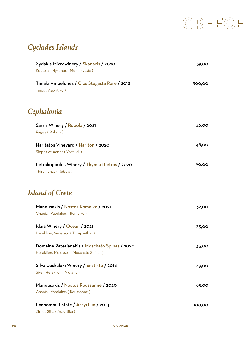

# *Cyclades Islands*

| Xydakis Microwinery / Skanavis / 2020                                                  | 39,00  |
|----------------------------------------------------------------------------------------|--------|
| Koutela, Mykonos (Monemvasia)                                                          |        |
| Tiniaki Ampelones / Clos Stegasta Rare / 2018<br>Tinos (Assyrtiko)                     | 300,00 |
| Cephalonia                                                                             |        |
| Sarris Winery / Robola / 2021<br>Fagias (Robola)                                       | 46,00  |
| Haritatos Vineyard / Hariton / 2020<br>Slopes of Aenos (Vostilidi)                     | 48,00  |
| Petrakopoulos Winery / Thymari Petras / 2020<br>Thiramonas (Robola)                    | 90,00  |
| <b>Island of Crete</b>                                                                 |        |
| Manousakis / Nostos Romeiko / 2021<br>Chania, Vatolakos (Romeiko)                      | 32,00  |
| Idaia Winery / Ocean / 2021<br>Heraklion, Venerato (Thrapsathiri)                      | 33,00  |
| Domaine Paterianakis / Moschato Spinas / 2020<br>Heraklion, Melesses (Moschato Spinas) | 33,00  |
| Silva Daskalaki Winery / Enstikto / 2018<br>Siva, Heraklion (Vidiano)                  | 49,00  |
| Manousakis / Nostos Roussanne / 2020<br>Chania, Vatolakos (Roussanne)                  | 65,00  |
| Economou Estate / Assyrtiko / 2014<br>Ziros, Sitia (Assyrtiko)                         | 100,00 |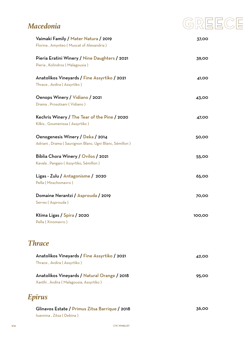#### *Macedonia*



| Vaimaki Family / Mater Natura / 2019                   | 37,00  |
|--------------------------------------------------------|--------|
| Florina, Amynteo (Muscat of Alexandria)                |        |
| Pieria Eratini Winery / Nine Daughters / 2021          | 39,00  |
| Pieria, Kolindros (Malagousia)                         |        |
| Anatolikos Vineyards / Fine Assyrtiko / 2021           | 41,00  |
| Thrace, Avdira (Assyrtiko)                             |        |
| Oenops Winery / Vidiano / 2021                         | 43,00  |
| Drama, Prosotsani (Vidiano)                            |        |
| Kechris Winery / The Tear of the Pine / 2020           | 47,00  |
| Kilkis, Goumenissa (Assyrtiko)                         |        |
| Oenogenesis Winery / Deka / 2014                       | 50,00  |
| Adriani, Drama (Sauvignon Blanc, Ugni Blanc, Sémillon) |        |
| Biblia Chora Winery / Ovilos / 2021                    | 55,00  |
| Kavala, Pangaio (Assyrtiko, Sémillon)                  |        |
| Ligas - Zulu / Antagonisme / 2020                      | 65,00  |
| Pella (Moschomavro)                                    |        |
| Domaine Nerantzi / Asprouda / 2019                     | 70,00  |
| Serres (Asprouda)                                      |        |
| Ktima Ligas / Spira / 2020                             | 100,00 |
| Pella (Xinomavro)                                      |        |
| <b>Thrace</b>                                          |        |
| Anatolikos Vineyards / Fine Assyrtiko / 2021           | 42,00  |
| Thrace, Avdira (Assyrtiko)                             |        |

Anatolikos Vineyards / Natural Orange / 2018 Xanthi , Avdira ( Malagousia, Assyrtiko ) 95,00

#### *Epirus*

| Glinavos Estate / Primus Zitsa Barrique / 2018 | 36.00 |
|------------------------------------------------|-------|
| Ioannina , Zitsa ( Debina )                    |       |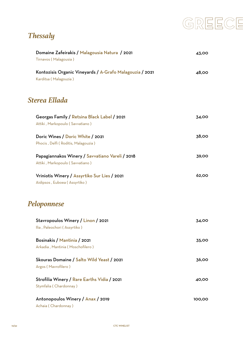# GREECE

# *Thessaly*

| Domaine Zafeirakis / Malagousia Natura / 2021<br>Tirnavos (Malagousia)             | 43,00  |
|------------------------------------------------------------------------------------|--------|
| Kontozisis Organic Vineyards / A-Grafo Malagouzia / 2021<br>Karditsa (Malagouzia)  | 48,00  |
| Sterea Ellada                                                                      |        |
| Georgas Family / Retsina Black Label / 2021<br>Attiki, Markopoulo (Savvatiano)     | 34,00  |
| Doric Wines / Doric White / 2021<br>Phocis, Delfi (Roditis, Malagouzia)            | 38,00  |
| Papagiannakos Winery / Savvatiano Vareli / 2018<br>Attiki, Markopoulo (Savvatiano) | 39,00  |
| Vriniotis Winery / Assyrtiko Sur Lies / 2021<br>Aidipsos, Euboea (Assyrtiko)       | 62,00  |
| Peloponnese                                                                        |        |
| Stavropoulos Winery / Linon / 2021<br>Ilia, Paleochori (Assyrtiko)                 | 34,00  |
| Bosinakis / Mantinia / 2021<br>Arkadia, Mantinia (Moschofilero)                    | 35,00  |
| Skouras Domaine / Salto Wild Yeast / 2021<br>Argos (Mavrofilero)                   | 36,00  |
| Strofilia Winery / Rare Earths Vidia / 2021<br>Stymfalia (Chardonnay)              | 40,00  |
| Antonopoulos Winery / Anax / 2019<br>Achaia (Chardonnay)                           | 100,00 |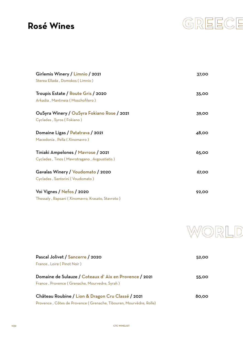### **Rosé Wines**



| Girlemis Winery / Limnio / 2021                  | 37,00 |
|--------------------------------------------------|-------|
| Sterea Ellada, Domokos (Limnio)                  |       |
| Troupis Estate / Route Gris / 2020               | 35,00 |
| Arkadia, Mantineia (Moschofilero)                |       |
| OuSyra Winery / OuSyra Fokiano Rose / 2021       | 39,00 |
| Cyclades, Syros (Fokiano)                        |       |
| Domaine Ligas / Patatrava / 2021                 | 48,00 |
| Macedonia, Pella (Xinomavro)                     |       |
| Tiniaki Ampelones / Mavrose / 2021               | 65,00 |
| Cyclades, Tinos (Mavrotragano, Avgoustiatis)     |       |
| Gavalas Winery / Voudomato / 2020                | 67,00 |
| Cyclades, Santorini (Voudomato)                  |       |
| Voi Vignes / Nefos / 2020                        | 92,00 |
| Thessaly, Rapsani (Xinomavro, Krasato, Stavroto) |       |



| Pascal Jolivet / Sancerre / 2020                                   | 52,00 |
|--------------------------------------------------------------------|-------|
| France, Loire (Pinot Noir)                                         |       |
|                                                                    |       |
| Domaine de Sulauze / Coteaux d'Aix en Provence / 2021              | 55.00 |
| France, Provence (Grenache, Mourvedre, Syrah)                      |       |
| Château Roubine / Lion & Dragon Cru Classé / 2021                  | 80,00 |
|                                                                    |       |
| Provence, Côtes de Provence (Grenache, Tibouren, Mourvèdre, Rolle) |       |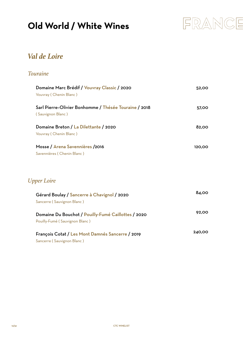# **Old World / White Wines**



#### *Val de Loire*

#### *Touraine*

| Domaine Marc Brédif / Vouvray Classic / 2020<br>Vouvray (Chenin Blanc)                | 52,00  |
|---------------------------------------------------------------------------------------|--------|
| Sarl Pierre-Olivier Bonhomme / Thésée Touraine / 2018<br>(Sauvignon Blanc)            | 57,00  |
| Domaine Breton / La Dilettante / 2020<br>Vouvray (Chenin Blanc)                       | 82,00  |
| Mosse / Arena Savennières /2016<br>Savennières (Chenin Blanc)                         | 120,00 |
| <b>Upper Loire</b>                                                                    |        |
| Gérard Boulay / Sancerre à Chavignol / 2020<br>Sancerre (Sauvignon Blanc)             | 84,00  |
| Domaine Du Bouchot / Pouilly-Fumé Caillottes / 2020<br>Pouilly-Fumé (Sauvignon Blanc) | 92,00  |
| François Cotat / Les Mont Damnés Sancerre / 2019                                      | 240,00 |

Sancerre ( Sauvignon Blanc )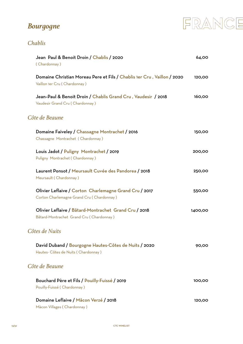# *Bourgogne*



#### *Chablis*

| Jean Paul & Benoit Droin / Chablis / 2020<br>(Chardonnay)                                               | 64,00   |
|---------------------------------------------------------------------------------------------------------|---------|
| Domaine Christian Moreau Pere et Fils / Chablis 1er Cru, Vaillon / 2020<br>Vaillon 1er Cru (Chardonnay) | 120,00  |
| Jean-Paul & Benoit Droin / Chablis Grand Cru, Vaudesir / 2018<br>Vaudesir Grand Cru (Chardonnay)        | 160,00  |
| Côte de Beaune                                                                                          |         |
| Domaine Faiveley / Chassagne Montrachet / 2016<br>Chassagne Montrachet (Chardonnay)                     | 150,00  |
| Louis Jadot / Puligny Montrachet / 2019<br>Puligny Montrachet (Chardonnay)                              | 200,00  |
| Laurent Ponsot / Meursault Cuvée des Pandorea / 2018<br>Meursault (Chardonnay)                          | 250,00  |
| Olivier Leflaive / Corton Charlemagne Grand Cru / 2017<br>Corton Charlemagne Grand Cru (Chardonnay)     | 550,00  |
| Olivier Leflaive / Bâtard-Montrachet Grand Cru / 2018<br>Bâtard-Montrachet Grand Cru (Chardonnay)       | 1400,00 |
| Côtes de Nuits                                                                                          |         |
| David Duband / Bourgogne Hautes-Côtes de Nuits / 2020<br>Hautes- Côtes de Nuits (Chardonnay)            | 90.00   |
| Côte de Beaune                                                                                          |         |
| Bouchard Père et Fils / Pouilly-Fuissé / 2019<br>Pouilly-Fuissé (Chardonnay)                            | 100,00  |
| Domaine Leflaive / Mâcon Verzé / 2018<br>Màcon Villages (Chardonnay)                                    | 120,00  |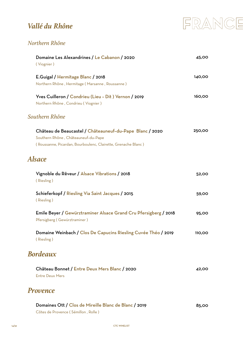#### *Vallé du Rhône*



#### *Northern Rhône*

| Domaine Les Alexandrines / Le Cabanon / 2020<br>(Viognier)                                                                                                       | 45,00  |
|------------------------------------------------------------------------------------------------------------------------------------------------------------------|--------|
| E.Guigal / Hermitage Blanc / 2018<br>Northern Rhône, Hermitage (Marsanne, Roussanne)                                                                             | 140,00 |
| Yves Cuilleron / Condrieu (Lieu - Dit) Vernon / 2019<br>Northern Rhône, Condrieu (Viognier)                                                                      | 160,00 |
| Southern Rhône                                                                                                                                                   |        |
| Château de Beaucastel / Châteauneuf-du-Pape Blanc / 2020<br>Southern Rhône, Châteauneuf-du-Pape<br>(Roussanne, Picardan, Bourboulenc, Clairette, Grenache Blanc) | 250,00 |
| <b>Alsace</b>                                                                                                                                                    |        |
| Vignoble du Rêveur / Alsace Vibrations / 2018<br>(Riesling)                                                                                                      | 52,00  |
| Schieferkopf / Riesling Via Saint Jacques / 2015<br>(Riesling)                                                                                                   | 59,00  |
| Emile Beyer / Gewürztraminer Alsace Grand Cru Pfersigberg / 2018<br>Pfersigberg (Gewürztraminer)                                                                 | 95,00  |
| Domaine Weinbach / Clos De Capucins Riesling Cuvée Théo / 2019<br>(Riesling)                                                                                     | 110,00 |
| <b>Bordeaux</b>                                                                                                                                                  |        |
| Château Bonnet / Entre Deux Mers Blanc / 2020<br><b>Entre Deux Mers</b>                                                                                          | 42,00  |
| <b>Provence</b>                                                                                                                                                  |        |
|                                                                                                                                                                  |        |

| Domaines Ott / Clos de Mireille Blanc de Blanc / 2019 | 85.00 |
|-------------------------------------------------------|-------|
| Côtes de Provence (Sémillon, Rolle)                   |       |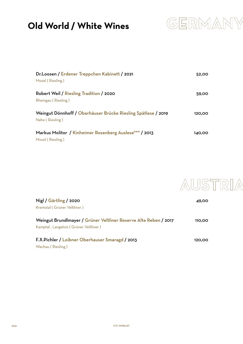# **Old World / White Wines**



| Dr.Loosen / Erdener Treppchen Kabinett / 2021                 | 52,00  |
|---------------------------------------------------------------|--------|
| Mosel (Riesling)                                              |        |
| Robert Weil / Riesling Tradition / 2020                       | 59.00  |
| Rheingau (Riesling)                                           |        |
| Weingut Dönnhoff / Oberhäuser Brücke Riesling Spätlese / 2019 | 120,00 |
| Nahe (Riesling)                                               |        |
| Markus Molitor / Kinheimer Rosenberg Auslese***/2013          | 140,00 |
| Mosel (Riesling)                                              |        |



| Nigl / Gärtling / 2020                                           | 49,00  |
|------------------------------------------------------------------|--------|
| Kremstal (Grüner Veltliner)                                      |        |
|                                                                  |        |
| Weingut Brundlmayer / Grüner Veltliner Reserve Alte Reben / 2017 | 110,00 |
| Kamptal, Langelois (Grüner Veltliner)                            |        |
|                                                                  |        |
| F.X.Pichler / Loibner Oberhauser Smaragd / 2013                  | 120,00 |
| Wachau (Riesling)                                                |        |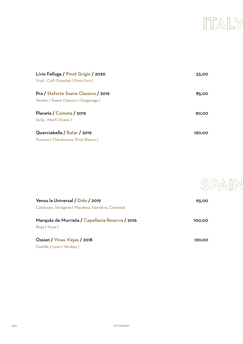

| Livio Felluga / Pinot Grigio / 2020  | 55,00  |
|--------------------------------------|--------|
| Friuli, Colli Orientali (Pinot Gris) |        |
| Pra / Staforte Soave Classico / 2019 | 85.00  |
| Veneto / Soave Classico (Garganega)  |        |
| Planeta / Cometa / 2019              | 90.00  |
| Sicily, Menfi (Fiano)                |        |
| Querciabella / Batar / 2019          | 190,00 |
| Toscana (Chardonnay, Pinot Bianco)   |        |



| Venus la Universal / Dido / 2019                                 | 65.00  |
|------------------------------------------------------------------|--------|
| Catalunya ,Tarragona ( Macabeu, Garnatxa, Cartoixa)              |        |
| Marqués de Murrieta / Capellania Reserva / 2016<br>Rioja (Viura) | 100,00 |
| Ossian / Vinas Viejas / 2018                                     | 120.00 |

Castilla y Leon ( Verdejo )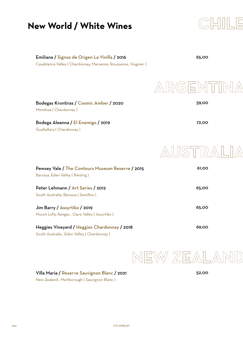# **New World / White Wines**



| 65,00                                                    |
|----------------------------------------------------------|
| NITIN<br>$\left(\overbrace{\mathbb{G}}\right)^{i}$<br>'는 |
| 59,00                                                    |
| 72,00                                                    |
|                                                          |
| 61,00                                                    |
| 65,00                                                    |
| 65,00                                                    |
| 69,00                                                    |
|                                                          |



Villa Maria / Reserve Sauvignon Blanc / 2021 New Zealand , Marlborough ( Sauvignon Blanc )

52,00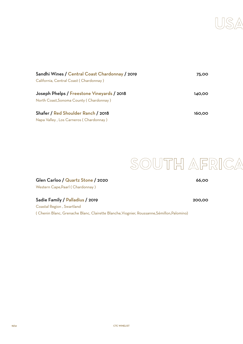

| Sandhi Wines / Central Coast Chardonnay / 2019 | 75.00  |
|------------------------------------------------|--------|
| California, Central Coast (Chardonnay)         |        |
| Joseph Phelps / Freestone Vineyards / 2018     | 140.00 |
| North Coast, Sonoma County (Chardonnay)        |        |
| Shafer / Red Shoulder Ranch / 2018             | 160.00 |
| Napa Valley, Los Carneros (Chardonnay)         |        |



Glen Carloo / Quartz Stone / 2020 Western Cape,Paarl ( Chardonnay )

Sadie Family / Palladius / 2019

Coastal Region , Swartland ( Chenin Blanc, Grenache Blanc, Clairette Blanche,Viognier, Roussanne,Sémillon,Palomino) 66,00

200,00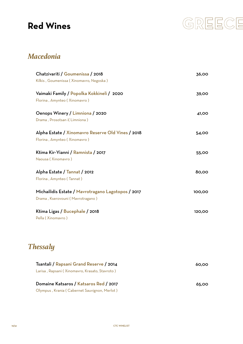# **Red Wines**



#### *Macedonia*

| Chatzivariti / Goumenissa / 2018<br>Kilkis, Goumenissa (Xinomavro, Negoska) | 36,00  |
|-----------------------------------------------------------------------------|--------|
| Vaimaki Family / Popolka Kokkineli / 2020                                   | 39,00  |
| Florina, Amynteo (Xinomavro)                                                |        |
| Oenops Winery / Limniona / 2020                                             | 41,00  |
| Drama, Prosotsan i(Limniona)                                                |        |
| Alpha Estate / Xinomavro Reserve Old Vines / 2018                           | 54,00  |
| Florina, Amynteo (Xinomavro)                                                |        |
| Ktima Kir-Yianni / Ramnista / 2017                                          | 55,00  |
| Naousa (Xinomavro)                                                          |        |
| Alpha Estate / Tannat / 2012                                                | 80,00  |
| Florina, Amynteo (Tannat)                                                   |        |
| Michailidis Estate / Mavrotragano Lagotopos / 2017                          | 100,00 |
| Drama, Kserovouni (Mavrotragano)                                            |        |
| Ktima Ligas / Bucephale / 2018                                              | 120,00 |
| Pella (Xinomavro)                                                           |        |

| Tsantali / Rapsani Grand Reserve / 2014        | 60.00 |
|------------------------------------------------|-------|
| Larisa, Rapsani (Xinomavro, Krasato, Stavroto) |       |
| Domaine Katsaros / Katsaros Red / 2017         | 65.00 |
| Olympus, Krania (Cabernet Sauvignon, Merlot)   |       |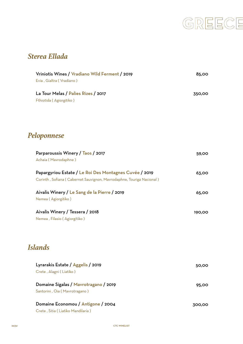

190,00

#### *Sterea Ellada*

| Vriniotis Wines / Vradiano Wild Ferment / 2019<br>Evia, Gialtra (Vradiano)                                                     | 85,00  |
|--------------------------------------------------------------------------------------------------------------------------------|--------|
| La Tour Melas / Palies Rizes / 2017<br>Fthiotida (Agiorgitiko)                                                                 | 350,00 |
| Peloponnese                                                                                                                    |        |
| Parparoussis Winery / Taos / 2017<br>Achaia (Mavrodaphne)                                                                      | 59,00  |
| Papargyriou Estate / Le Roi Des Montagnes Cuvée / 2019<br>Corinth, Sofiana (Cabernet Sauvignon, Mavrodaphne, Touriga Nacional) | 63,00  |
| Aivalis Winery / Le Sang de la Pierre / 2019                                                                                   | 65,00  |

Nemea ( Agiorgitiko )

Aivalis Winery / Tessera / 2018 Nemea , Filasio ( Agiorgitiko )

### *Islands*

| Lyrarakis Estate / Aggelis / 2019     | 50.00  |
|---------------------------------------|--------|
| Crete, Alagni (Liatiko)               |        |
|                                       |        |
| Domaine Sigalas / Mavrotragano / 2019 | 95.00  |
| Santorini, Oia (Mavrotragano)         |        |
|                                       |        |
| Domaine Economou / Antigone / 2004    | 300,00 |
| Crete, Sitia (Liatiko Mandilaria)     |        |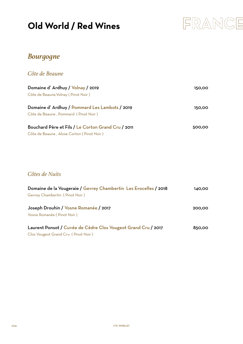# **Old World / Red Wines**



#### *Bourgogne*

*Côte de Beaune*

| Domaine d'Ardhuy / Volnay / 2019                   | 150.00 |
|----------------------------------------------------|--------|
| Côte de Beaune, Volnay (Pinot Noir)                |        |
| Domaine d'Ardhuy / Pommard Les Lambots / 2019      | 150.00 |
| Côte de Beaune, Pommard (Pinot Noir)               |        |
| Bouchard Père et Fils / Le Corton Grand Cru / 2011 | 500,00 |
| Côte de Beaune, Aloxe Corton (Pinot Noir)          |        |

*Côtes de Nuits*

| Domaine de la Vougeraie / Gevrey Chambertin Les Evocelles / 2018                                     | 140.00 |
|------------------------------------------------------------------------------------------------------|--------|
| Gevrey Chambertin (Pinot Noir)                                                                       |        |
| Joseph Drouhin / Vosne Romanée / 2017<br>Vosne Romanée (Pinot Noir)                                  | 200.00 |
| Laurent Ponsot / Cuvée de Cèdre Clos Vougeot Grand Cru / 2017<br>Clos Vougeot Grand Cru (Pinot Noir) | 850.00 |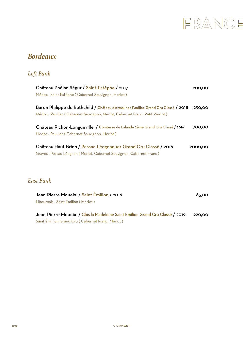

#### *Bordeaux*

#### *Left Bank*

| Château Phélan Ségur / Saint-Estèphe / 2017<br>Médoc, Saint-Estèphe (Cabernet Sauvignon, Merlot)                                                                 | 200.00  |
|------------------------------------------------------------------------------------------------------------------------------------------------------------------|---------|
| Baron Philippe de Rothchild / Château d'Armailhac Pauillac Grand Cru Classé / 2018<br>Médoc, Pauillac (Cabernet Sauvignon, Merlot, Cabernet Franc, Petit Verdot) | 250,00  |
| Château Pichon-Longueville / Comtesse de Lalande 2ème Grand Cru Classé / 2016<br>Medoc, Pauillac (Cabernet Sauvignon, Merlot)                                    | 700.00  |
| Château Haut-Brion / Pessac-Léognan 1er Grand Cru Classé / 2016<br>Graves, Pessac-Léognan (Merlot, Cabernet Sauvignon, Cabernet Franc)                           | 2000,00 |

#### *East Bank*

| Jean-Pierre Moueix / Saint Émilion / 2016                                    | 65.00  |
|------------------------------------------------------------------------------|--------|
| Libournais, Saint Emilion (Merlot)                                           |        |
| Jean-Pierre Moueix / Clos la Madeleine Saint Emilion Grand Cru Classé / 2019 | 220.00 |
| Saint Émillion Grand Cru (Cabernet Franc, Merlot)                            |        |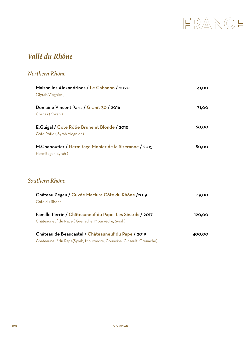

#### *Vallé du Rhône*

#### *Northern Rhône*

| Maison les Alexandrines / Le Cabanon / 2020<br>(Syrah, Viognier)                                            | 41,00  |
|-------------------------------------------------------------------------------------------------------------|--------|
| Domaine Vincent Paris / Granit 30 / 2016<br>Cornas (Syrah)                                                  | 71,00  |
| E.Guigal / Côte Rôtie Brune et Blonde / 2018<br>Côte Rôtie (Syrah, Viognier)                                | 160,00 |
| M.Chapoutier / Hermitage Monier de la Sizeranne / 2015<br>Hermitage (Syrah)                                 | 180,00 |
| Southern Rhône                                                                                              |        |
| Château Pégau / Cuvée Maclura Côte du Rhône /2019<br>Côte du Rhone                                          | 49.00  |
| Famille Perrin / Châteauneuf du Pape Les Sinards / 2017<br>Châteauneuf du Pape (Grenache, Mourvèdre, Syrah) | 120,00 |
| Château de Beaucastel / Châteauneuf du Pape / 2019                                                          | 400,00 |

Châteauneuf du Pape(Syrah, Mourvèdre, Counoise, Cinsault, Grenache)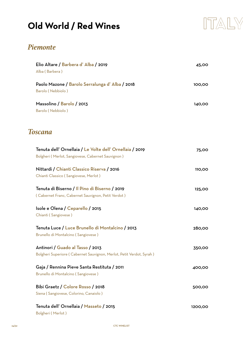# **Old World / Red Wines**



#### *Piemonte*

| Elio Altare / Barbera d'Alba / 2019<br>Alba (Barbera)                                                         | 45,00   |
|---------------------------------------------------------------------------------------------------------------|---------|
| Paolo Mazone / Barolo Serralunga d'Alba / 2018<br>Barolo (Nebbiolo)                                           | 100,00  |
| Massolino / Barolo / 2013<br>Barolo (Nebbiolo)                                                                | 140,00  |
| <b>Toscana</b>                                                                                                |         |
| Tenuta dell' Ornellaia / Le Volte dell' Ornellaia / 2019<br>Bolgheri (Merlot, Sangiovese, Cabernet Sauvignon) | 75,00   |
| Nittardi / Chianti Classico Riserva / 2016<br>Chianti Classico (Sangiovese, Merlot)                           | 110,00  |
| Tenuta di Biserno / Il Pino di Biserno / 2019<br>(Cabernet Franc, Cabernet Sauvignon, Petit Verdot)           | 125,00  |
| Isole e Olena / Ceparello / 2015<br>Chianti (Sangiovese)                                                      | 140,00  |
| Tenuta Luce / Luce Brunello di Montalcino / 2013<br>Brunello di Montalcino (Sangiovese)                       | 280,00  |
| Antinori / Guado al Tasso / 2013<br>Bolgheri Superiore (Cabernet Sauvignon, Merlot, Petit Verdot, Syrah)      | 350,00  |
| Gaja / Rennina Pieve Santa Restituta / 2011<br>Brunello di Montalcino (Sangiovese)                            | 400,00  |
| Bibi Graetz / Colore Rosso / 2018<br>Siena (Sangiovese, Colorino, Canaiolo)                                   | 500,00  |
| Tenuta dell' Ornellaia / Masseto / 2015                                                                       | 1200,00 |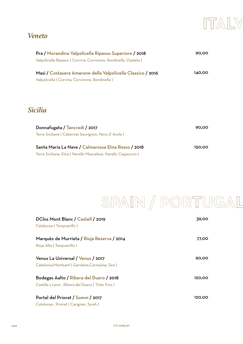

#### *Veneto*

| Pra / Morandina Valpolicella Ripasso Superiore / 2018<br>Valpolicella Ripasso (Corvina, Corvinone, Rondinella, Oseleta) | 90,00  |
|-------------------------------------------------------------------------------------------------------------------------|--------|
| Masi / Costasera Amarone della Valpolicella Classico / 2016<br>Valpolicella (Corvina, Corvinone, Rondinella)            | 140,00 |
| <i><b>Sicilia</b></i>                                                                                                   |        |
| Donnafugata / Tancredi / 2017<br>Terre Siciliane (Cabernet Sauvignon, Nero d'Avola)                                     | 90,00  |
| Santa Maria La Nave / Calmarossa Etna Rosso / 2018<br>Terre Siciliane, Etna (Nerello Mascalese, Nerello Cappuccio)      | 150,00 |



| DClos Mont Blanc / Castell / 2019<br>Catalunya (Tempranillo)                              | 39,00  |
|-------------------------------------------------------------------------------------------|--------|
| Marquès de Murrieta / Rioja Reserva / 2014<br>Rioja Alta (Tempranillo)                    | 77,00  |
| Venus La Universal / Venus / 2017<br>Catalunya, Montsant (Garnatxa, Carinyena, Sira)      | 90,00  |
| Bodegas Aalto / Ribera del Duero / 2018<br>Castilla y Leon, Ribera del Duero (Tinto Fino) | 120,00 |
| Portal del Priorat / Somni / 2017<br>Catalunya, Priorat (Carignan, Syrah)                 | 120,00 |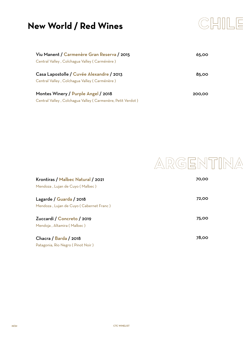# **New World / Red Wines**



| Viu Manent / Carmenère Gran Reserva / 2015                 | 65.00  |
|------------------------------------------------------------|--------|
| Central Valley, Colchagua Valley (Carménère)               |        |
| Casa Lapostolle / Cuvée Alexandre / 2013                   | 85.00  |
| Central Valley, Colchagua Valley (Carménère)               |        |
| Montes Winery / Purple Angel / 2018                        | 200.00 |
| Central Valley, Colchagua Valley (Carmenère, Petit Verdot) |        |

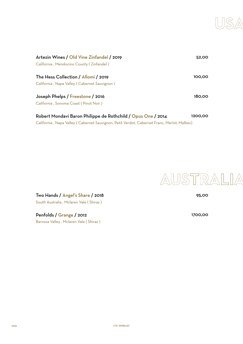

| Artezin Wines / Old Vine Zinfandel / 2019                    | 52,00   |
|--------------------------------------------------------------|---------|
| California, Mendocino County (Zinfandel)                     |         |
| The Hess Collection / Allomi / 2019                          | 100,00  |
| California, Napa Valley (Cabernet Sauvignon)                 |         |
| Joseph Phelps / Freestone / 2016                             | 180,00  |
| California, Sonoma Coast (Pinot Noir)                        |         |
| Robert Mondavi Baron Philippe de Rothchild / Opus One / 2014 | 1200,00 |
|                                                              |         |

California , Napa Valley ( Cabernet Sauvignon, Petit Verdot, Cabernet Franc, Merlot, Malbec)

95,00

AUSTRALIA

Two Hands / Angel's Share / 2018 South Australia , Mclaren Vale ( Shiraz )

Penfolds / Grange / 2012 Barossa Valley , Mclaren Vale ( Shiraz ) 1700,00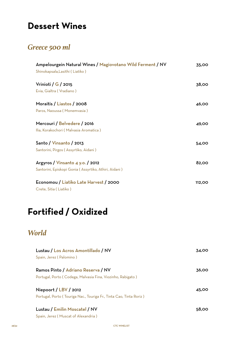# **Dessert Wines**

#### *Greece 500 ml*

| Ampelourgein Natural Wines / Magiovotano Wild Ferment / NV<br>Shinokapsala, Lasithi (Liatiko) | 35,00  |
|-----------------------------------------------------------------------------------------------|--------|
| Vrinioti / $G$ / 2015                                                                         | 38,00  |
| Evia, Gialtra (Vradiano)                                                                      |        |
| Moraitis / Liastos / 2008                                                                     | 46,00  |
| Paros, Naoussa (Monemvasia)                                                                   |        |
| Mercouri / Belvedere / 2016                                                                   | 49,00  |
| Ilia, Korakochori (Malvasia Aromatica)                                                        |        |
| Santo / Vinsanto / 2013                                                                       | 54,00  |
| Santorini, Pirgos (Assyrtiko, Aidani)                                                         |        |
| Argyros / Vinsanto 4 y.o. / 2012                                                              | 82,00  |
| Santorini, Episkopi Gonia (Assyrtiko, Athiri, Aidani)                                         |        |
| Economou / Liatiko Late Harvest / 2000                                                        | 112,00 |
| Crete, Sitia (Liatiko)                                                                        |        |

# **Fortified / Oxidized**

#### *World*

| Lustau / Los Acros Amontillado / NV                                 | 34.00 |
|---------------------------------------------------------------------|-------|
| Spain, Jerez (Palomino)                                             |       |
| Ramos Pinto / Adriano Reserva / NV                                  | 36.00 |
| Portugal, Porto (Codega, Malvasia Fina, Viozinho, Rabigato)         |       |
|                                                                     |       |
| Niepoort / $LBV$ / 2012                                             | 45.00 |
| Portugal, Porto (Touriga Nac., Touriga Fr., Tinta Cao, Tinta Roriz) |       |
|                                                                     |       |
| Lustau / Emilin Moscatel / NV                                       | 58,00 |
| Spain, Jerez (Muscat of Alexandria)                                 |       |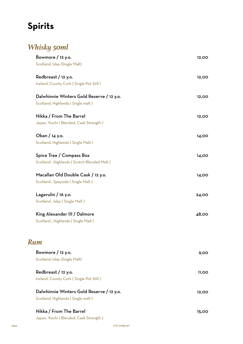# **Spirits**

# *Whisky 50ml*

| Bowmore / 12 y.o.                         | 12,00 |
|-------------------------------------------|-------|
| Scotland, Islay (Single Malt)             |       |
| Redbreast / 12 y.o.                       | 12,00 |
| Ireland, County Cork (Single Pot Still)   |       |
| Dalwhinnie Winters Gold Reserve / 12 y.o. | 12,00 |
| Scotland, Highlands (Single malt)         |       |
| Nikka / From The Barrel                   | 12,00 |
| Japan, Yoichi (Blended, Cask Strength)    |       |
| Oban / 14 y.o.                            | 14,00 |
| Scotland, Highlands (Single Malt)         |       |
| Spice Tree / Compass Box                  | 14,00 |
| Scotland, Highlands (Scotch Blended Malt) |       |
| Macallan Old Double Cask / 12 y.o.        | 14,00 |
| Scotland, Speyside (Single Malt)          |       |
| Lagavulin / 16 y.o.                       | 24,00 |
| Scotland, Islay (Single Malt)             |       |
| King Alexander III / Dalmore              | 48,00 |
| Scotland, Highlands (Single Malt)         |       |
|                                           |       |
| Rum                                       |       |
| Bowmore / 12 y.o.                         | 9,00  |
| Scotland, Islay (Single Malt)             |       |
| Redbreast / 12 y.o.                       | 11,00 |
| Ireland, County Cork (Single Pot Still)   |       |
| Dalwhinnie Winters Gold Reserve / 12 y.o. | 12,00 |
| Scotland, Highlands (Single malt)         |       |
| Nikka / From The Barrel                   | 15,00 |
| Japan, Yoichi (Blended, Cask Strength)    |       |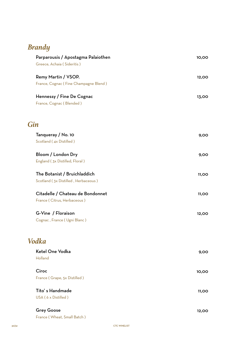## *Brandy*

| Parparousis / Apostagma Palaiothen    | 10,00        |
|---------------------------------------|--------------|
| Greece, Achaia (Sideritis)            |              |
| Remy Martin / VSOP.                   | 12,00        |
| France, Cognac (Fine Champagne Blend) |              |
| Hennessy / Fine De Cognac             | 13,00        |
| France, Cognac (Blended)              |              |
| Gin                                   |              |
| Tanqueray / No. 10                    | 9,00         |
| Scotland (4x Distilled)               |              |
| Bloom / London Dry                    | 9,00         |
| England (3x Distilled, Floral)        |              |
| The Botanist / Bruichladdich          | 11,00        |
| Scotland (3x Distilled, Herbaceous)   |              |
| Citadelle / Chateau de Bondonnet      | 11,00        |
| France (Citrus, Herbaceous)           |              |
| G-Vine / Floraison                    | 12,00        |
| Cognac, France (Ugni Blanc)           |              |
| <b>Vodka</b>                          |              |
| Ketel One Vodka                       | 9,00         |
| Holland                               |              |
| Ciroc                                 | 10,00        |
| France (Grape, 5x Distilled)          |              |
| Tito's Handmade                       | <b>11,00</b> |
| USA (6 x Distilled)                   |              |
| <b>Grey Goose</b>                     | 12,00        |
| France (Wheat, Small Batch)           |              |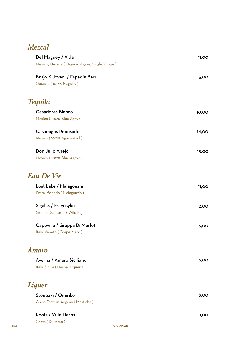#### *Mezcal*

| Del Maguey / Vida                                      | 11,00        |
|--------------------------------------------------------|--------------|
| Mexico, Oaxaca (Organic Agave, Single Village)         |              |
| Brujo X Joven / Espadin Barril<br>Oaxaca (100% Maguey) | 15,00        |
|                                                        |              |
| <b>Tequila</b>                                         |              |
| <b>Casadores Blanco</b>                                | 10,00        |
| Mexico (100% Blue Agave)                               |              |
| Casamigos Reposado                                     | 14,00        |
| Mexico (100% Agave Azul)                               |              |
| Don Julio Anejo                                        | 15,00        |
| Mexico (100% Blue Agave)                               |              |
| <b>Eau De Vie</b>                                      |              |
| Lost Lake / Malagouzia                                 | <b>11,00</b> |
| Petra, Boeotia (Malagouzia)                            |              |
| Sigalas / Fragosyko                                    | 12,00        |
| Greece, Santorini (Wild Fig)                           |              |
| Capovilla / Grappa Di Merlot                           | 13,00        |
| Italy, Veneto (Grape Marc)                             |              |
| <b>Amaro</b>                                           |              |
| Averna / Amaro Siciliano                               | 6,00         |
| Italy, Sicilia (Herbal Liquer)                         |              |
| <b>Liquer</b>                                          |              |
| Stoupaki / Omiriko                                     | 8,00         |
| Chios, Eastern Aegean (Masticha)                       |              |
| Roots / Wild Herbs                                     | 11,00        |

Crete ( Diktamo )